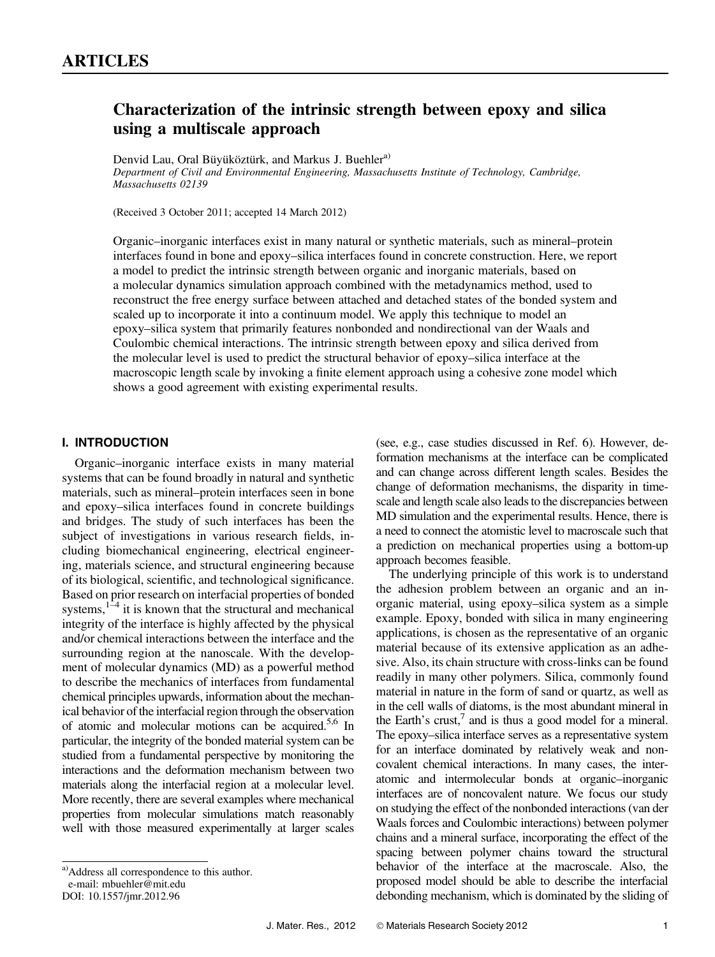# Characterization of the intrinsic strength between epoxy and silica using a multiscale approach

Denvid Lau, Oral Büyüköztürk, and Markus J. Buehler<sup>a)</sup>

Department of Civil and Environmental Engineering, Massachusetts Institute of Technology, Cambridge, Massachusetts 02139

(Received 3 October 2011; accepted 14 March 2012)

Organic–inorganic interfaces exist in many natural or synthetic materials, such as mineral–protein interfaces found in bone and epoxy–silica interfaces found in concrete construction. Here, we report a model to predict the intrinsic strength between organic and inorganic materials, based on a molecular dynamics simulation approach combined with the metadynamics method, used to reconstruct the free energy surface between attached and detached states of the bonded system and scaled up to incorporate it into a continuum model. We apply this technique to model an epoxy–silica system that primarily features nonbonded and nondirectional van der Waals and Coulombic chemical interactions. The intrinsic strength between epoxy and silica derived from the molecular level is used to predict the structural behavior of epoxy–silica interface at the macroscopic length scale by invoking a finite element approach using a cohesive zone model which shows a good agreement with existing experimental results.

## I. INTRODUCTION

Organic–inorganic interface exists in many material systems that can be found broadly in natural and synthetic materials, such as mineral–protein interfaces seen in bone and epoxy–silica interfaces found in concrete buildings and bridges. The study of such interfaces has been the subject of investigations in various research fields, including biomechanical engineering, electrical engineering, materials science, and structural engineering because of its biological, scientific, and technological significance. Based on prior research on interfacial properties of bonded systems, $1<sup>1–4</sup>$  it is known that the structural and mechanical integrity of the interface is highly affected by the physical and/or chemical interactions between the interface and the surrounding region at the nanoscale. With the development of molecular dynamics (MD) as a powerful method to describe the mechanics of interfaces from fundamental chemical principles upwards, information about the mechanical behavior of the interfacial region through the observation of atomic and molecular motions can be acquired.5,6 In particular, the integrity of the bonded material system can be studied from a fundamental perspective by monitoring the interactions and the deformation mechanism between two materials along the interfacial region at a molecular level. More recently, there are several examples where mechanical properties from molecular simulations match reasonably well with those measured experimentally at larger scales (see, e.g., case studies discussed in Ref. 6). However, deformation mechanisms at the interface can be complicated and can change across different length scales. Besides the change of deformation mechanisms, the disparity in timescale and length scale also leads to the discrepancies between MD simulation and the experimental results. Hence, there is a need to connect the atomistic level to macroscale such that a prediction on mechanical properties using a bottom-up approach becomes feasible.

The underlying principle of this work is to understand the adhesion problem between an organic and an inorganic material, using epoxy–silica system as a simple example. Epoxy, bonded with silica in many engineering applications, is chosen as the representative of an organic material because of its extensive application as an adhesive. Also, its chain structure with cross-links can be found readily in many other polymers. Silica, commonly found material in nature in the form of sand or quartz, as well as in the cell walls of diatoms, is the most abundant mineral in the Earth's crust, $7$  and is thus a good model for a mineral. The epoxy–silica interface serves as a representative system for an interface dominated by relatively weak and noncovalent chemical interactions. In many cases, the interatomic and intermolecular bonds at organic–inorganic interfaces are of noncovalent nature. We focus our study on studying the effect of the nonbonded interactions (van der Waals forces and Coulombic interactions) between polymer chains and a mineral surface, incorporating the effect of the spacing between polymer chains toward the structural behavior of the interface at the macroscale. Also, the proposed model should be able to describe the interfacial debonding mechanism, which is dominated by the sliding of

a)Address all correspondence to this author.

e-mail: mbuehler@mit.edu

DOI: 10.1557/jmr.2012.96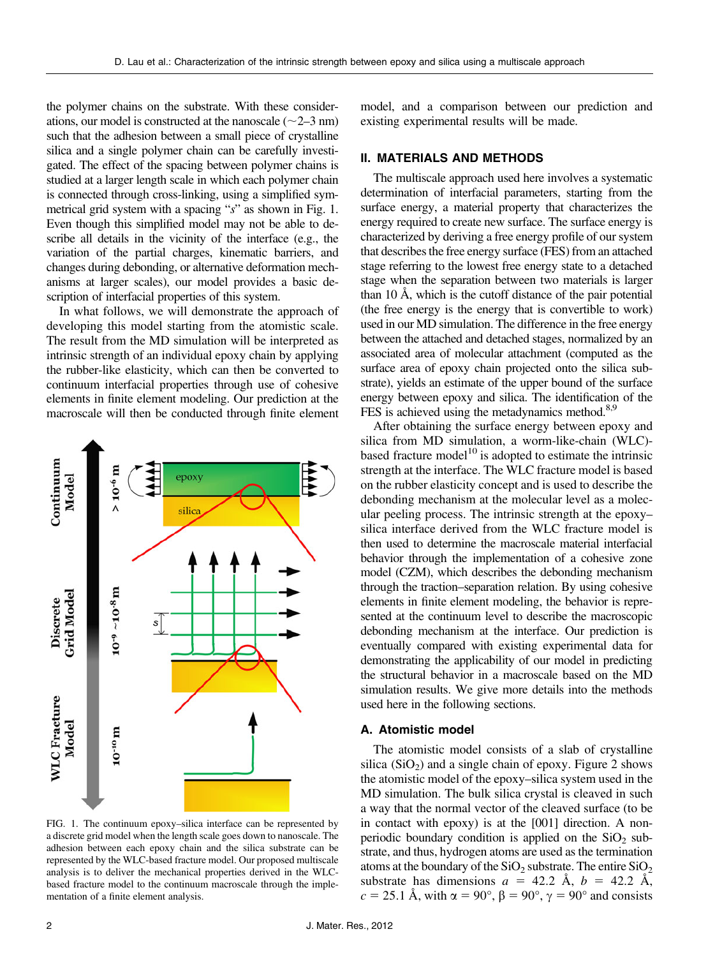the polymer chains on the substrate. With these considerations, our model is constructed at the nanoscale  $(\sim 2-3 \text{ nm})$ such that the adhesion between a small piece of crystalline silica and a single polymer chain can be carefully investigated. The effect of the spacing between polymer chains is studied at a larger length scale in which each polymer chain is connected through cross-linking, using a simplified symmetrical grid system with a spacing "s" as shown in Fig. 1. Even though this simplified model may not be able to describe all details in the vicinity of the interface (e.g., the variation of the partial charges, kinematic barriers, and changes during debonding, or alternative deformation mechanisms at larger scales), our model provides a basic description of interfacial properties of this system.

In what follows, we will demonstrate the approach of developing this model starting from the atomistic scale. The result from the MD simulation will be interpreted as intrinsic strength of an individual epoxy chain by applying the rubber-like elasticity, which can then be converted to continuum interfacial properties through use of cohesive elements in finite element modeling. Our prediction at the macroscale will then be conducted through finite element



FIG. 1. The continuum epoxy–silica interface can be represented by a discrete grid model when the length scale goes down to nanoscale. The adhesion between each epoxy chain and the silica substrate can be represented by the WLC-based fracture model. Our proposed multiscale analysis is to deliver the mechanical properties derived in the WLCbased fracture model to the continuum macroscale through the implementation of a finite element analysis.

model, and a comparison between our prediction and existing experimental results will be made.

## II. MATERIALS AND METHODS

The multiscale approach used here involves a systematic determination of interfacial parameters, starting from the surface energy, a material property that characterizes the energy required to create new surface. The surface energy is characterized by deriving a free energy profile of our system that describes the free energy surface (FES) from an attached stage referring to the lowest free energy state to a detached stage when the separation between two materials is larger than 10 Å, which is the cutoff distance of the pair potential (the free energy is the energy that is convertible to work) used in our MD simulation. The difference in the free energy between the attached and detached stages, normalized by an associated area of molecular attachment (computed as the surface area of epoxy chain projected onto the silica substrate), yields an estimate of the upper bound of the surface energy between epoxy and silica. The identification of the FES is achieved using the metadynamics method. $8,9$ 

After obtaining the surface energy between epoxy and silica from MD simulation, a worm-like-chain (WLC) based fracture model<sup>10</sup> is adopted to estimate the intrinsic strength at the interface. The WLC fracture model is based on the rubber elasticity concept and is used to describe the debonding mechanism at the molecular level as a molecular peeling process. The intrinsic strength at the epoxy– silica interface derived from the WLC fracture model is then used to determine the macroscale material interfacial behavior through the implementation of a cohesive zone model (CZM), which describes the debonding mechanism through the traction–separation relation. By using cohesive elements in finite element modeling, the behavior is represented at the continuum level to describe the macroscopic debonding mechanism at the interface. Our prediction is eventually compared with existing experimental data for demonstrating the applicability of our model in predicting the structural behavior in a macroscale based on the MD simulation results. We give more details into the methods used here in the following sections.

#### A. Atomistic model

The atomistic model consists of a slab of crystalline silica  $(SiO<sub>2</sub>)$  and a single chain of epoxy. Figure 2 shows the atomistic model of the epoxy–silica system used in the MD simulation. The bulk silica crystal is cleaved in such a way that the normal vector of the cleaved surface (to be in contact with epoxy) is at the [001] direction. A nonperiodic boundary condition is applied on the  $SiO<sub>2</sub>$  substrate, and thus, hydrogen atoms are used as the termination atoms at the boundary of the  $SiO<sub>2</sub>$  substrate. The entire  $SiO<sub>2</sub>$ substrate has dimensions  $a = 42.2 \text{ Å}, b = 42.2 \text{ Å},$  $c = 25.1$  Å, with  $\alpha = 90^{\circ}$ ,  $\beta = 90^{\circ}$ ,  $\gamma = 90^{\circ}$  and consists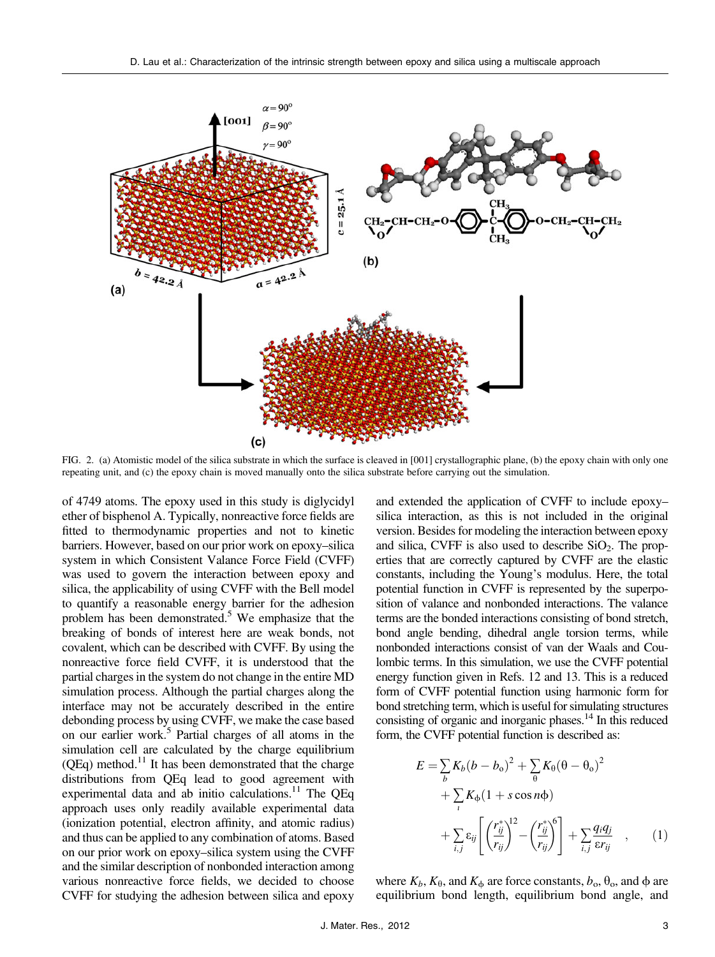

FIG. 2. (a) Atomistic model of the silica substrate in which the surface is cleaved in [001] crystallographic plane, (b) the epoxy chain with only one repeating unit, and (c) the epoxy chain is moved manually onto the silica substrate before carrying out the simulation.

of 4749 atoms. The epoxy used in this study is diglycidyl ether of bisphenol A. Typically, nonreactive force fields are fitted to thermodynamic properties and not to kinetic barriers. However, based on our prior work on epoxy–silica system in which Consistent Valance Force Field (CVFF) was used to govern the interaction between epoxy and silica, the applicability of using CVFF with the Bell model to quantify a reasonable energy barrier for the adhesion problem has been demonstrated.5 We emphasize that the breaking of bonds of interest here are weak bonds, not covalent, which can be described with CVFF. By using the nonreactive force field CVFF, it is understood that the partial charges in the system do not change in the entire MD simulation process. Although the partial charges along the interface may not be accurately described in the entire debonding process by using CVFF, we make the case based on our earlier work.5 Partial charges of all atoms in the simulation cell are calculated by the charge equilibrium ( $OEq$ ) method.<sup>11</sup> It has been demonstrated that the charge distributions from QEq lead to good agreement with experimental data and ab initio calculations.<sup>11</sup> The OEq approach uses only readily available experimental data (ionization potential, electron affinity, and atomic radius) and thus can be applied to any combination of atoms. Based on our prior work on epoxy–silica system using the CVFF and the similar description of nonbonded interaction among various nonreactive force fields, we decided to choose CVFF for studying the adhesion between silica and epoxy

and extended the application of CVFF to include epoxy– silica interaction, as this is not included in the original version. Besides for modeling the interaction between epoxy and silica, CVFF is also used to describe  $SiO<sub>2</sub>$ . The properties that are correctly captured by CVFF are the elastic constants, including the Young's modulus. Here, the total potential function in CVFF is represented by the superposition of valance and nonbonded interactions. The valance terms are the bonded interactions consisting of bond stretch, bond angle bending, dihedral angle torsion terms, while nonbonded interactions consist of van der Waals and Coulombic terms. In this simulation, we use the CVFF potential energy function given in Refs. 12 and 13. This is a reduced form of CVFF potential function using harmonic form for bond stretching term, which is useful for simulating structures consisting of organic and inorganic phases.<sup>14</sup> In this reduced form, the CVFF potential function is described as:

$$
E = \sum_{b} K_b (b - b_o)^2 + \sum_{\theta} K_{\theta} (\theta - \theta_o)^2
$$
  
+ 
$$
\sum_{i} K_{\phi} (1 + s \cos n\phi)
$$
  
+ 
$$
\sum_{i,j} \varepsilon_{ij} \left[ \left( \frac{r_{ij}^*}{r_{ij}} \right)^2 - \left( \frac{r_{ij}^*}{r_{ij}} \right)^6 \right] + \sum_{i,j} \frac{q_i q_j}{\varepsilon r_{ij}} , \qquad (1)
$$

where  $K_b$ ,  $K_\theta$ , and  $K_\phi$  are force constants,  $b_\text{o}$ ,  $\theta_\text{o}$ , and  $\phi$  are equilibrium bond length, equilibrium bond angle, and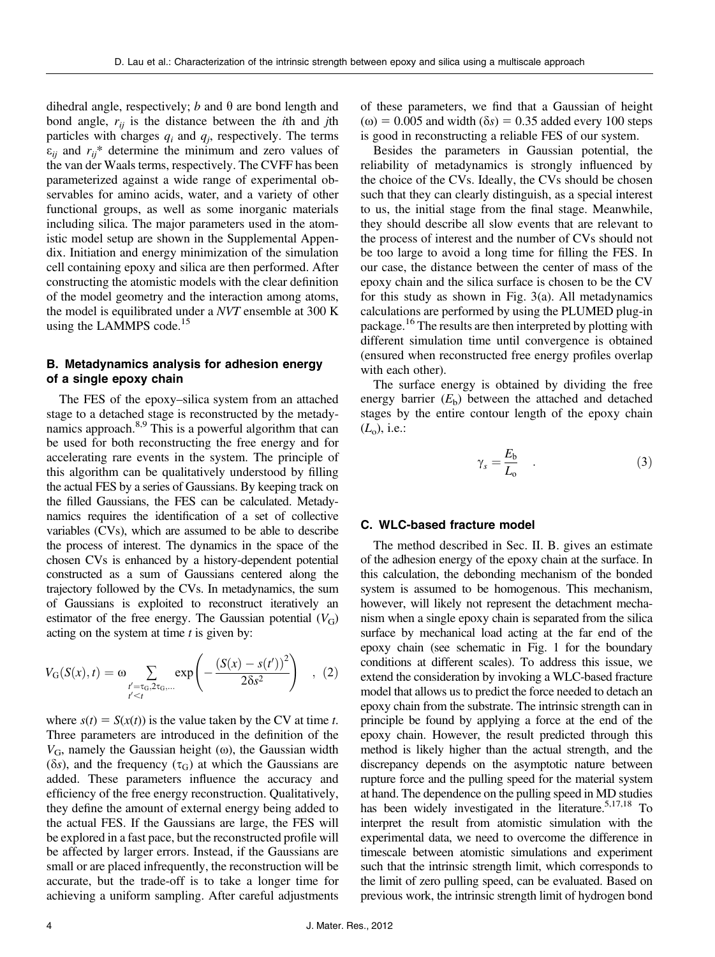dihedral angle, respectively; b and  $\theta$  are bond length and bond angle,  $r_{ij}$  is the distance between the *i*th and *j*th particles with charges  $q_i$  and  $q_j$ , respectively. The terms  $\varepsilon_{ii}$  and  $r_{ii}$ <sup>\*</sup> determine the minimum and zero values of the van der Waals terms, respectively. The CVFF has been parameterized against a wide range of experimental observables for amino acids, water, and a variety of other functional groups, as well as some inorganic materials including silica. The major parameters used in the atomistic model setup are shown in the Supplemental Appendix. Initiation and energy minimization of the simulation cell containing epoxy and silica are then performed. After constructing the atomistic models with the clear definition of the model geometry and the interaction among atoms, the model is equilibrated under a NVT ensemble at 300 K using the LAMMPS code.<sup>15</sup>

# B. Metadynamics analysis for adhesion energy of a single epoxy chain

The FES of the epoxy–silica system from an attached stage to a detached stage is reconstructed by the metadynamics approach. $8.9$  This is a powerful algorithm that can be used for both reconstructing the free energy and for accelerating rare events in the system. The principle of this algorithm can be qualitatively understood by filling the actual FES by a series of Gaussians. By keeping track on the filled Gaussians, the FES can be calculated. Metadynamics requires the identification of a set of collective variables (CVs), which are assumed to be able to describe the process of interest. The dynamics in the space of the chosen CVs is enhanced by a history-dependent potential constructed as a sum of Gaussians centered along the trajectory followed by the CVs. In metadynamics, the sum of Gaussians is exploited to reconstruct iteratively an estimator of the free energy. The Gaussian potential  $(V_G)$ acting on the system at time  $t$  is given by:

$$
V_{\rm G}(S(x),t) = \omega \sum_{\substack{t' = \tau_{\rm G}, 2\tau_{\rm G},...\\t' < t}} \exp\left(-\frac{(S(x) - s(t'))^2}{2\delta s^2}\right) \quad , \tag{2}
$$

where  $s(t) = S(x(t))$  is the value taken by the CV at time t. Three parameters are introduced in the definition of the  $V_G$ , namely the Gaussian height ( $\omega$ ), the Gaussian width ( $\delta s$ ), and the frequency ( $\tau$ <sub>G</sub>) at which the Gaussians are added. These parameters influence the accuracy and efficiency of the free energy reconstruction. Qualitatively, they define the amount of external energy being added to the actual FES. If the Gaussians are large, the FES will be explored in a fast pace, but the reconstructed profile will be affected by larger errors. Instead, if the Gaussians are small or are placed infrequently, the reconstruction will be accurate, but the trade-off is to take a longer time for achieving a uniform sampling. After careful adjustments of these parameters, we find that a Gaussian of height ( $\omega$ ) = 0.005 and width ( $\delta s$ ) = 0.35 added every 100 steps is good in reconstructing a reliable FES of our system.

Besides the parameters in Gaussian potential, the reliability of metadynamics is strongly influenced by the choice of the CVs. Ideally, the CVs should be chosen such that they can clearly distinguish, as a special interest to us, the initial stage from the final stage. Meanwhile, they should describe all slow events that are relevant to the process of interest and the number of CVs should not be too large to avoid a long time for filling the FES. In our case, the distance between the center of mass of the epoxy chain and the silica surface is chosen to be the CV for this study as shown in Fig. 3(a). All metadynamics calculations are performed by using the PLUMED plug-in package.<sup>16</sup> The results are then interpreted by plotting with different simulation time until convergence is obtained (ensured when reconstructed free energy profiles overlap with each other).

The surface energy is obtained by dividing the free energy barrier  $(E<sub>b</sub>)$  between the attached and detached stages by the entire contour length of the epoxy chain  $(L<sub>o</sub>)$ , i.e.:

$$
\gamma_s = \frac{E_b}{L_o} \quad . \tag{3}
$$

## C. WLC-based fracture model

The method described in Sec. II. B. gives an estimate of the adhesion energy of the epoxy chain at the surface. In this calculation, the debonding mechanism of the bonded system is assumed to be homogenous. This mechanism, however, will likely not represent the detachment mechanism when a single epoxy chain is separated from the silica surface by mechanical load acting at the far end of the epoxy chain (see schematic in Fig. 1 for the boundary conditions at different scales). To address this issue, we extend the consideration by invoking a WLC-based fracture model that allows us to predict the force needed to detach an epoxy chain from the substrate. The intrinsic strength can in principle be found by applying a force at the end of the epoxy chain. However, the result predicted through this method is likely higher than the actual strength, and the discrepancy depends on the asymptotic nature between rupture force and the pulling speed for the material system at hand. The dependence on the pulling speed in MD studies has been widely investigated in the literature.<sup>5,17,18</sup> To interpret the result from atomistic simulation with the experimental data, we need to overcome the difference in timescale between atomistic simulations and experiment such that the intrinsic strength limit, which corresponds to the limit of zero pulling speed, can be evaluated. Based on previous work, the intrinsic strength limit of hydrogen bond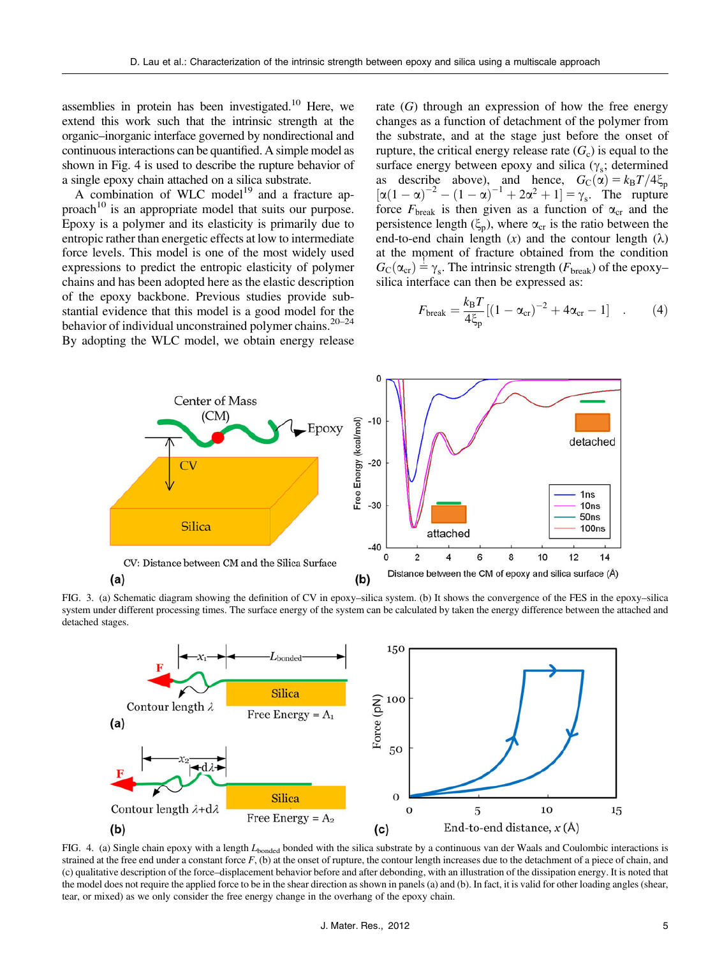assemblies in protein has been investigated.<sup>10</sup> Here, we extend this work such that the intrinsic strength at the organic–inorganic interface governed by nondirectional and continuous interactions can be quantified. A simple model as shown in Fig. 4 is used to describe the rupture behavior of a single epoxy chain attached on a silica substrate.

A combination of WLC model<sup>19</sup> and a fracture approach<sup>10</sup> is an appropriate model that suits our purpose. Epoxy is a polymer and its elasticity is primarily due to entropic rather than energetic effects at low to intermediate force levels. This model is one of the most widely used expressions to predict the entropic elasticity of polymer chains and has been adopted here as the elastic description of the epoxy backbone. Previous studies provide substantial evidence that this model is a good model for the behavior of individual unconstrained polymer chains.<sup>20–24</sup> By adopting the WLC model, we obtain energy release

rate  $(G)$  through an expression of how the free energy changes as a function of detachment of the polymer from the substrate, and at the stage just before the onset of rupture, the critical energy release rate  $(G_c)$  is equal to the surface energy between epoxy and silica  $(\gamma_s;$  determined as describe above), and hence,  $G_{\text{C}}(\alpha) = k_{\text{B}}T/4\xi_{\text{p}}$  $[\alpha(1 - \alpha)^{-2} - (1 - \alpha)^{-1} + 2\alpha^2 + 1] = \gamma_s$ . The rupture force  $F_{\text{break}}$  is then given as a function of  $\alpha_{\text{cr}}$  and the persistence length  $(\xi_p)$ , where  $\alpha_{cr}$  is the ratio between the end-to-end chain length  $(x)$  and the contour length  $(\lambda)$ at the moment of fracture obtained from the condition  $G_{\text{C}}(\alpha_{\text{cr}}) = \gamma_s$ . The intrinsic strength ( $F_{\text{break}}$ ) of the epoxy– silica interface can then be expressed as:

$$
F_{\text{break}} = \frac{k_{\text{B}}T}{4\xi_{\text{p}}} [(1 - \alpha_{\text{cr}})^{-2} + 4\alpha_{\text{cr}} - 1] \quad . \tag{4}
$$



FIG. 3. (a) Schematic diagram showing the definition of CV in epoxy–silica system. (b) It shows the convergence of the FES in the epoxy–silica system under different processing times. The surface energy of the system can be calculated by taken the energy difference between the attached and detached stages.



FIG. 4. (a) Single chain epoxy with a length  $L_{\text{bonded}}$  bonded with the silica substrate by a continuous van der Waals and Coulombic interactions is strained at the free end under a constant force  $F$ , (b) at the onset of rupture, the contour length increases due to the detachment of a piece of chain, and (c) qualitative description of the force–displacement behavior before and after debonding, with an illustration of the dissipation energy. It is noted that the model does not require the applied force to be in the shear direction as shown in panels (a) and (b). In fact, it is valid for other loading angles (shear, tear, or mixed) as we only consider the free energy change in the overhang of the epoxy chain.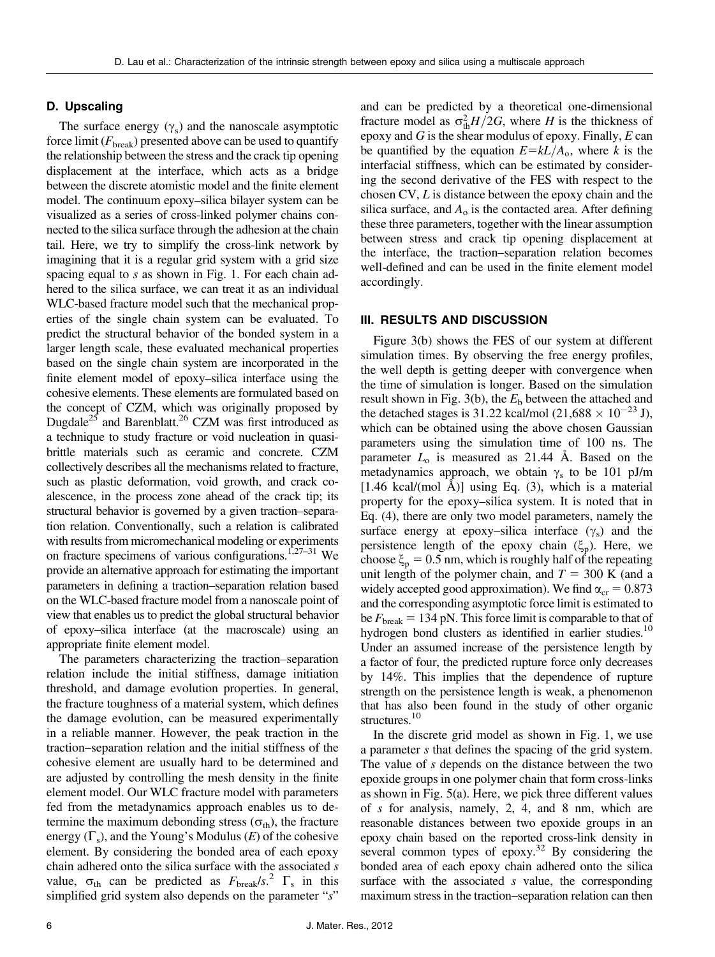## D. Upscaling

The surface energy  $(\gamma_s)$  and the nanoscale asymptotic force limit  $(F<sub>break</sub>)$  presented above can be used to quantify the relationship between the stress and the crack tip opening displacement at the interface, which acts as a bridge between the discrete atomistic model and the finite element model. The continuum epoxy–silica bilayer system can be visualized as a series of cross-linked polymer chains connected to the silica surface through the adhesion at the chain tail. Here, we try to simplify the cross-link network by imagining that it is a regular grid system with a grid size spacing equal to s as shown in Fig. 1. For each chain adhered to the silica surface, we can treat it as an individual WLC-based fracture model such that the mechanical properties of the single chain system can be evaluated. To predict the structural behavior of the bonded system in a larger length scale, these evaluated mechanical properties based on the single chain system are incorporated in the finite element model of epoxy–silica interface using the cohesive elements. These elements are formulated based on the concept of CZM, which was originally proposed by Dugdale<sup>25</sup> and Barenblatt.<sup>26</sup> CZM was first introduced as a technique to study fracture or void nucleation in quasibrittle materials such as ceramic and concrete. CZM collectively describes all the mechanisms related to fracture, such as plastic deformation, void growth, and crack coalescence, in the process zone ahead of the crack tip; its structural behavior is governed by a given traction–separation relation. Conventionally, such a relation is calibrated with results from micromechanical modeling or experiments on fracture specimens of various configurations.<sup>1,27–31</sup> We provide an alternative approach for estimating the important parameters in defining a traction–separation relation based on the WLC-based fracture model from a nanoscale point of view that enables us to predict the global structural behavior of epoxy–silica interface (at the macroscale) using an appropriate finite element model.

The parameters characterizing the traction–separation relation include the initial stiffness, damage initiation threshold, and damage evolution properties. In general, the fracture toughness of a material system, which defines the damage evolution, can be measured experimentally in a reliable manner. However, the peak traction in the traction–separation relation and the initial stiffness of the cohesive element are usually hard to be determined and are adjusted by controlling the mesh density in the finite element model. Our WLC fracture model with parameters fed from the metadynamics approach enables us to determine the maximum debonding stress  $(\sigma_{th})$ , the fracture energy  $(\Gamma_s)$ , and the Young's Modulus (E) of the cohesive element. By considering the bonded area of each epoxy chain adhered onto the silica surface with the associated s value,  $\sigma_{\text{th}}$  can be predicted as  $F_{\text{break}}/s^2 \Gamma_{\text{s}}$  in this simplified grid system also depends on the parameter "s"

and can be predicted by a theoretical one-dimensional fracture model as  $\sigma_{\text{th}}^2 H/2G$ , where H is the thickness of epoxy and  $G$  is the shear modulus of epoxy. Finally,  $E$  can be quantified by the equation  $E=kL/A_0$ , where k is the interfacial stiffness, which can be estimated by considering the second derivative of the FES with respect to the chosen CV, L is distance between the epoxy chain and the silica surface, and  $A_0$  is the contacted area. After defining these three parameters, together with the linear assumption between stress and crack tip opening displacement at the interface, the traction–separation relation becomes well-defined and can be used in the finite element model accordingly.

## III. RESULTS AND DISCUSSION

Figure 3(b) shows the FES of our system at different simulation times. By observing the free energy profiles, the well depth is getting deeper with convergence when the time of simulation is longer. Based on the simulation result shown in Fig. 3(b), the  $E<sub>b</sub>$  between the attached and the detached stages is 31.22 kcal/mol (21,688  $\times$  10<sup>-23</sup> J), which can be obtained using the above chosen Gaussian parameters using the simulation time of 100 ns. The parameter  $L_0$  is measured as 21.44 Å. Based on the metadynamics approach, we obtain  $\gamma_s$  to be 101 pJ/m  $[1.46 \text{ kcal/(mol Å)}]$  using Eq. (3), which is a material property for the epoxy–silica system. It is noted that in Eq. (4), there are only two model parameters, namely the surface energy at epoxy–silica interface  $(\gamma_s)$  and the persistence length of the epoxy chain  $(\xi_n)$ . Here, we choose  $\xi_p = 0.5$  nm, which is roughly half of the repeating unit length of the polymer chain, and  $T = 300$  K (and a widely accepted good approximation). We find  $\alpha_{cr} = 0.873$ and the corresponding asymptotic force limit is estimated to be  $F_{\text{break}} = 134 \text{ pN}$ . This force limit is comparable to that of hydrogen bond clusters as identified in earlier studies.<sup>10</sup> Under an assumed increase of the persistence length by a factor of four, the predicted rupture force only decreases by 14%. This implies that the dependence of rupture strength on the persistence length is weak, a phenomenon that has also been found in the study of other organic structures.<sup>10</sup>

In the discrete grid model as shown in Fig. 1, we use a parameter s that defines the spacing of the grid system. The value of s depends on the distance between the two epoxide groups in one polymer chain that form cross-links as shown in Fig. 5(a). Here, we pick three different values of s for analysis, namely, 2, 4, and 8 nm, which are reasonable distances between two epoxide groups in an epoxy chain based on the reported cross-link density in several common types of epoxy. $32$  By considering the bonded area of each epoxy chain adhered onto the silica surface with the associated s value, the corresponding maximum stress in the traction–separation relation can then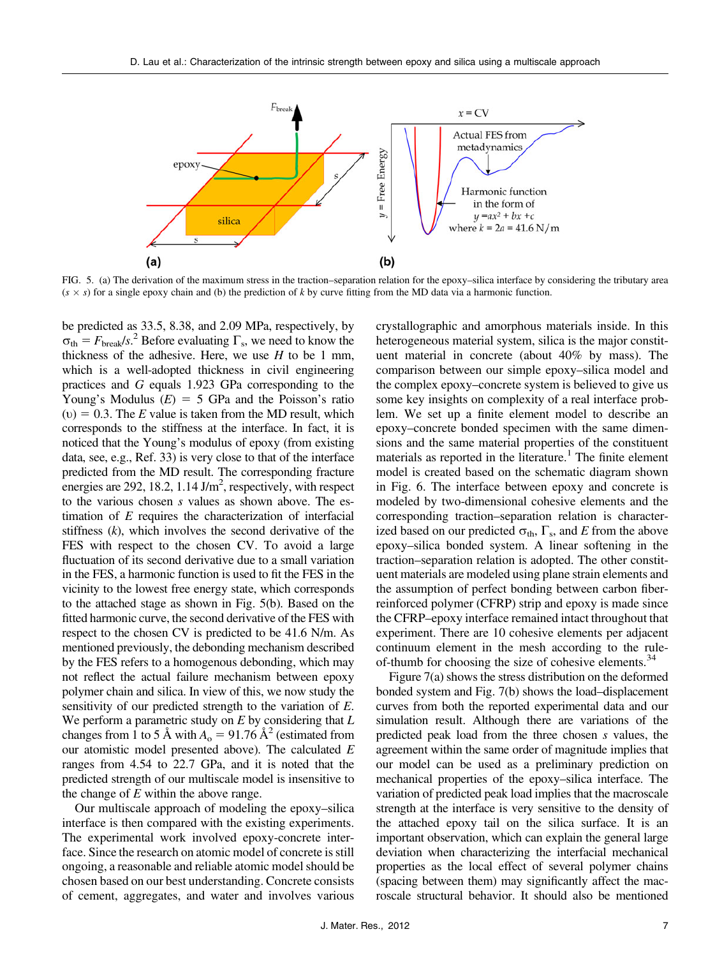

FIG. 5. (a) The derivation of the maximum stress in the traction–separation relation for the epoxy–silica interface by considering the tributary area  $(s \times s)$  for a single epoxy chain and (b) the prediction of k by curve fitting from the MD data via a harmonic function.

be predicted as 33.5, 8.38, and 2.09 MPa, respectively, by  $\sigma_{\text{th}} = F_{\text{break}}/s$ .<sup>2</sup> Before evaluating  $\Gamma_{\text{s}}$ , we need to know the thickness of the adhesive. Here, we use  $H$  to be 1 mm, which is a well-adopted thickness in civil engineering practices and G equals 1.923 GPa corresponding to the Young's Modulus  $(E) = 5$  GPa and the Poisson's ratio  $(v) = 0.3$ . The E value is taken from the MD result, which corresponds to the stiffness at the interface. In fact, it is noticed that the Young's modulus of epoxy (from existing data, see, e.g., Ref. 33) is very close to that of the interface predicted from the MD result. The corresponding fracture energies are 292, 18.2, 1.14 J/m<sup>2</sup>, respectively, with respect to the various chosen s values as shown above. The estimation of E requires the characterization of interfacial stiffness  $(k)$ , which involves the second derivative of the FES with respect to the chosen CV. To avoid a large fluctuation of its second derivative due to a small variation in the FES, a harmonic function is used to fit the FES in the vicinity to the lowest free energy state, which corresponds to the attached stage as shown in Fig. 5(b). Based on the fitted harmonic curve, the second derivative of the FES with respect to the chosen CV is predicted to be 41.6 N/m. As mentioned previously, the debonding mechanism described by the FES refers to a homogenous debonding, which may not reflect the actual failure mechanism between epoxy polymer chain and silica. In view of this, we now study the sensitivity of our predicted strength to the variation of E. We perform a parametric study on  $E$  by considering that  $L$ changes from 1 to 5 Å with  $A_0 = 91.76 \text{ Å}^2$  (estimated from our atomistic model presented above). The calculated E ranges from 4.54 to 22.7 GPa, and it is noted that the predicted strength of our multiscale model is insensitive to the change of  $E$  within the above range.

Our multiscale approach of modeling the epoxy–silica interface is then compared with the existing experiments. The experimental work involved epoxy-concrete interface. Since the research on atomic model of concrete is still ongoing, a reasonable and reliable atomic model should be chosen based on our best understanding. Concrete consists of cement, aggregates, and water and involves various crystallographic and amorphous materials inside. In this heterogeneous material system, silica is the major constituent material in concrete (about 40% by mass). The comparison between our simple epoxy–silica model and the complex epoxy–concrete system is believed to give us some key insights on complexity of a real interface problem. We set up a finite element model to describe an epoxy–concrete bonded specimen with the same dimensions and the same material properties of the constituent materials as reported in the literature.<sup>1</sup> The finite element model is created based on the schematic diagram shown in Fig. 6. The interface between epoxy and concrete is modeled by two-dimensional cohesive elements and the corresponding traction–separation relation is characterized based on our predicted  $\sigma_{th}$ ,  $\Gamma_s$ , and E from the above epoxy–silica bonded system. A linear softening in the traction–separation relation is adopted. The other constituent materials are modeled using plane strain elements and the assumption of perfect bonding between carbon fiberreinforced polymer (CFRP) strip and epoxy is made since the CFRP–epoxy interface remained intact throughout that experiment. There are 10 cohesive elements per adjacent continuum element in the mesh according to the ruleof-thumb for choosing the size of cohesive elements.<sup>34</sup>

Figure 7(a) shows the stress distribution on the deformed bonded system and Fig. 7(b) shows the load–displacement curves from both the reported experimental data and our simulation result. Although there are variations of the predicted peak load from the three chosen s values, the agreement within the same order of magnitude implies that our model can be used as a preliminary prediction on mechanical properties of the epoxy–silica interface. The variation of predicted peak load implies that the macroscale strength at the interface is very sensitive to the density of the attached epoxy tail on the silica surface. It is an important observation, which can explain the general large deviation when characterizing the interfacial mechanical properties as the local effect of several polymer chains (spacing between them) may significantly affect the macroscale structural behavior. It should also be mentioned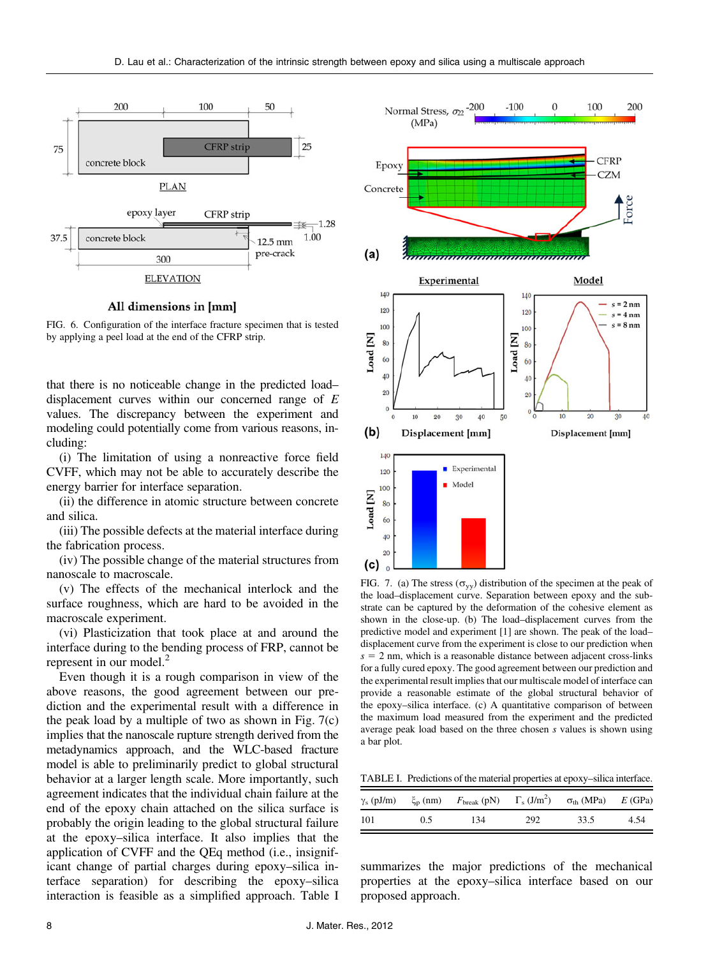

#### All dimensions in [mm]

FIG. 6. Configuration of the interface fracture specimen that is tested by applying a peel load at the end of the CFRP strip.

that there is no noticeable change in the predicted load– displacement curves within our concerned range of E values. The discrepancy between the experiment and modeling could potentially come from various reasons, including:

(i) The limitation of using a nonreactive force field CVFF, which may not be able to accurately describe the energy barrier for interface separation.

(ii) the difference in atomic structure between concrete and silica.

(iii) The possible defects at the material interface during the fabrication process.

(iv) The possible change of the material structures from nanoscale to macroscale.

(v) The effects of the mechanical interlock and the surface roughness, which are hard to be avoided in the macroscale experiment.

(vi) Plasticization that took place at and around the interface during to the bending process of FRP, cannot be represent in our model.<sup>2</sup>

Even though it is a rough comparison in view of the above reasons, the good agreement between our prediction and the experimental result with a difference in the peak load by a multiple of two as shown in Fig. 7(c) implies that the nanoscale rupture strength derived from the metadynamics approach, and the WLC-based fracture model is able to preliminarily predict to global structural behavior at a larger length scale. More importantly, such agreement indicates that the individual chain failure at the end of the epoxy chain attached on the silica surface is probably the origin leading to the global structural failure at the epoxy–silica interface. It also implies that the application of CVFF and the QEq method (i.e., insignificant change of partial charges during epoxy–silica interface separation) for describing the epoxy–silica interaction is feasible as a simplified approach. Table I



FIG. 7. (a) The stress ( $\sigma_{vv}$ ) distribution of the specimen at the peak of the load–displacement curve. Separation between epoxy and the substrate can be captured by the deformation of the cohesive element as shown in the close-up. (b) The load–displacement curves from the predictive model and experiment [1] are shown. The peak of the load– displacement curve from the experiment is close to our prediction when  $s = 2$  nm, which is a reasonable distance between adjacent cross-links for a fully cured epoxy. The good agreement between our prediction and the experimental result implies that our multiscale model of interface can provide a reasonable estimate of the global structural behavior of the epoxy–silica interface. (c) A quantitative comparison of between the maximum load measured from the experiment and the predicted average peak load based on the three chosen s values is shown using a bar plot.

TABLE I. Predictions of the material properties at epoxy–silica interface.

|     |               | $\gamma_s$ (pJ/m) $\xi_p$ (nm) $F_{\text{break}}$ (pN) $\Gamma_s$ (J/m <sup>2</sup> ) $\sigma_{\text{th}}$ (MPa) $E$ (GPa) |     |      |      |
|-----|---------------|----------------------------------------------------------------------------------------------------------------------------|-----|------|------|
| 101 | $0.5^{\circ}$ | 134                                                                                                                        | 292 | 33.5 | 4.54 |

summarizes the major predictions of the mechanical properties at the epoxy–silica interface based on our proposed approach.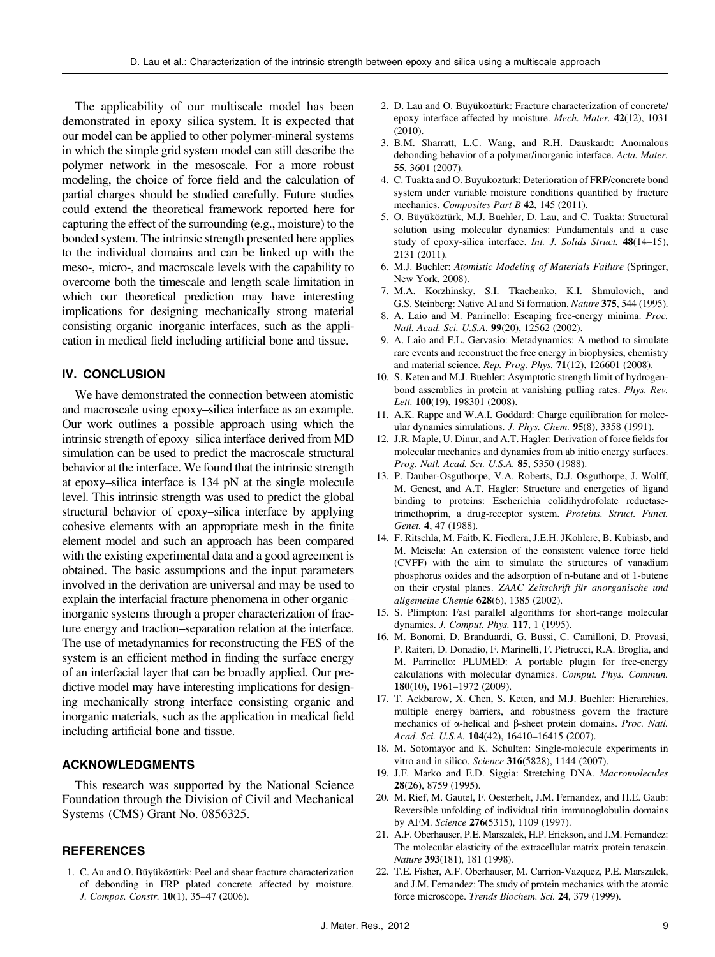The applicability of our multiscale model has been demonstrated in epoxy–silica system. It is expected that our model can be applied to other polymer-mineral systems in which the simple grid system model can still describe the polymer network in the mesoscale. For a more robust modeling, the choice of force field and the calculation of partial charges should be studied carefully. Future studies could extend the theoretical framework reported here for capturing the effect of the surrounding (e.g., moisture) to the bonded system. The intrinsic strength presented here applies to the individual domains and can be linked up with the meso-, micro-, and macroscale levels with the capability to overcome both the timescale and length scale limitation in which our theoretical prediction may have interesting implications for designing mechanically strong material consisting organic–inorganic interfaces, such as the application in medical field including artificial bone and tissue.

## IV. CONCLUSION

We have demonstrated the connection between atomistic and macroscale using epoxy–silica interface as an example. Our work outlines a possible approach using which the intrinsic strength of epoxy–silica interface derived from MD simulation can be used to predict the macroscale structural behavior at the interface. We found that the intrinsic strength at epoxy–silica interface is 134 pN at the single molecule level. This intrinsic strength was used to predict the global structural behavior of epoxy–silica interface by applying cohesive elements with an appropriate mesh in the finite element model and such an approach has been compared with the existing experimental data and a good agreement is obtained. The basic assumptions and the input parameters involved in the derivation are universal and may be used to explain the interfacial fracture phenomena in other organic– inorganic systems through a proper characterization of fracture energy and traction–separation relation at the interface. The use of metadynamics for reconstructing the FES of the system is an efficient method in finding the surface energy of an interfacial layer that can be broadly applied. Our predictive model may have interesting implications for designing mechanically strong interface consisting organic and inorganic materials, such as the application in medical field including artificial bone and tissue.

#### ACKNOWLEDGMENTS

This research was supported by the National Science Foundation through the Division of Civil and Mechanical Systems (CMS) Grant No. 0856325.

#### **REFERENCES**

1. C. Au and O. Büyüköztürk: Peel and shear fracture characterization of debonding in FRP plated concrete affected by moisture. J. Compos. Constr. 10(1), 35–47 (2006).

- 2. D. Lau and O. Büyüköztürk: Fracture characterization of concrete/ epoxy interface affected by moisture. Mech. Mater. 42(12), 1031 (2010).
- 3. B.M. Sharratt, L.C. Wang, and R.H. Dauskardt: Anomalous debonding behavior of a polymer/inorganic interface. Acta. Mater. 55, 3601 (2007).
- 4. C. Tuakta and O. Buyukozturk: Deterioration of FRP/concrete bond system under variable moisture conditions quantified by fracture mechanics. Composites Part B 42, 145 (2011).
- 5. O. Büyüköztürk, M.J. Buehler, D. Lau, and C. Tuakta: Structural solution using molecular dynamics: Fundamentals and a case study of epoxy-silica interface. Int. J. Solids Struct. 48(14–15), 2131 (2011).
- 6. M.J. Buehler: Atomistic Modeling of Materials Failure (Springer, New York, 2008).
- 7. M.A. Korzhinsky, S.I. Tkachenko, K.I. Shmulovich, and G.S. Steinberg: Native AI and Si formation. Nature 375, 544 (1995).
- 8. A. Laio and M. Parrinello: Escaping free-energy minima. Proc. Natl. Acad. Sci. U.S.A. 99(20), 12562 (2002).
- 9. A. Laio and F.L. Gervasio: Metadynamics: A method to simulate rare events and reconstruct the free energy in biophysics, chemistry and material science. Rep. Prog. Phys. 71(12), 126601 (2008).
- 10. S. Keten and M.J. Buehler: Asymptotic strength limit of hydrogenbond assemblies in protein at vanishing pulling rates. Phys. Rev. Lett. 100(19), 198301 (2008).
- 11. A.K. Rappe and W.A.I. Goddard: Charge equilibration for molecular dynamics simulations. J. Phys. Chem. 95(8), 3358 (1991).
- 12. J.R. Maple, U. Dinur, and A.T. Hagler: Derivation of force fields for molecular mechanics and dynamics from ab initio energy surfaces. Prog. Natl. Acad. Sci. U.S.A. 85, 5350 (1988).
- 13. P. Dauber-Osguthorpe, V.A. Roberts, D.J. Osguthorpe, J. Wolff, M. Genest, and A.T. Hagler: Structure and energetics of ligand binding to proteins: Escherichia colidihydrofolate reductasetrimethoprim, a drug-receptor system. Proteins. Struct. Funct. Genet. 4, 47 (1988).
- 14. F. Ritschla, M. Faitb, K. Fiedlera, J.E.H. JKohlerc, B. Kubiasb, and M. Meisela: An extension of the consistent valence force field (CVFF) with the aim to simulate the structures of vanadium phosphorus oxides and the adsorption of n-butane and of 1-butene on their crystal planes. ZAAC Zeitschrift für anorganische und allgemeine Chemie 628(6), 1385 (2002).
- 15. S. Plimpton: Fast parallel algorithms for short-range molecular dynamics. J. Comput. Phys. 117, 1 (1995).
- 16. M. Bonomi, D. Branduardi, G. Bussi, C. Camilloni, D. Provasi, P. Raiteri, D. Donadio, F. Marinelli, F. Pietrucci, R.A. Broglia, and M. Parrinello: PLUMED: A portable plugin for free-energy calculations with molecular dynamics. Comput. Phys. Commun. 180(10), 1961–1972 (2009).
- 17. T. Ackbarow, X. Chen, S. Keten, and M.J. Buehler: Hierarchies, multiple energy barriers, and robustness govern the fracture mechanics of  $\alpha$ -helical and  $\beta$ -sheet protein domains. *Proc. Natl.* Acad. Sci. U.S.A. 104(42), 16410–16415 (2007).
- 18. M. Sotomayor and K. Schulten: Single-molecule experiments in vitro and in silico. Science 316(5828), 1144 (2007).
- 19. J.F. Marko and E.D. Siggia: Stretching DNA. Macromolecules 28(26), 8759 (1995).
- 20. M. Rief, M. Gautel, F. Oesterhelt, J.M. Fernandez, and H.E. Gaub: Reversible unfolding of individual titin immunoglobulin domains by AFM. Science 276(5315), 1109 (1997).
- 21. A.F. Oberhauser, P.E. Marszalek, H.P. Erickson, and J.M. Fernandez: The molecular elasticity of the extracellular matrix protein tenascin. Nature 393(181), 181 (1998).
- 22. T.E. Fisher, A.F. Oberhauser, M. Carrion-Vazquez, P.E. Marszalek, and J.M. Fernandez: The study of protein mechanics with the atomic force microscope. Trends Biochem. Sci. 24, 379 (1999).